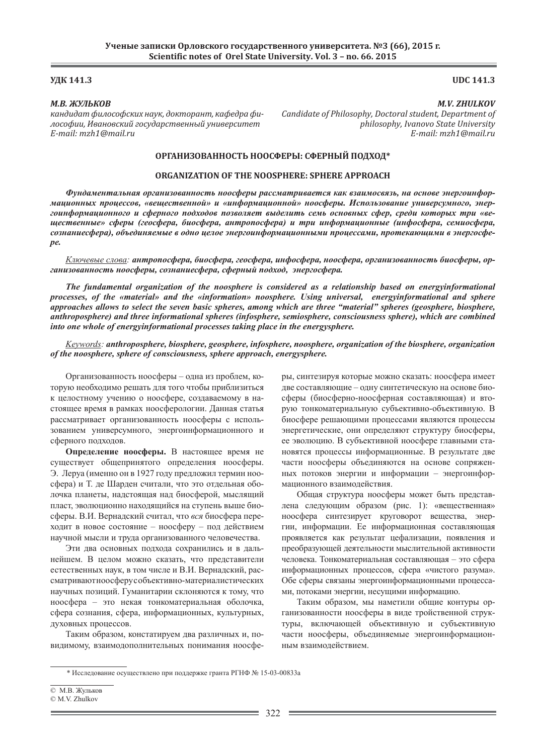# *М.В. ЖУЛЬКОВ*

*ˍ˃ːˇˋˇ˃˕˗ˋˎˑ˔ˑ˗˔ˍˋ˘ ː˃˖ˍ, ˇˑˍ˕ˑ˓˃ː˕, ˍ˃˗ˈˇ˓˃ ˗ˋ-* $\emph{Joco}$ фии, Ивановский государственный университет *E-mail: mzh1@mail.ru*

# **ʢʓʙ 141.3 UDC 141.3**

# *M.V. ZHULKOV*

*Candidate of Philosophy, Doctoral student, Department of philosophy, Ivanovo State University E-mail: mzh1@mail.ru*

# **ʝʟʒʏʜʗʖʝʑʏʜʜʝʠʡʫ ʜʝʝʠʣʔʟʪ: ʠʣʔʟʜʪʘ ʞʝʓʤʝʓ\***

# **ORGANIZATION OF THE NOOSPHERE: SPHERE APPROACH**

*Ɏɭɧɞɚɦɟɧɬɚɥɶɧɚɹ ɨɪɝɚɧɢɡɨɜɚɧɧɨɫɬɶ ɧɨɨɫɮɟɪɵ ɪɚɫɫɦɚɬɪɢɜɚɟɬɫɹ ɤɚɤ ɜɡɚɢɦɨɫɜɹɡɶ, ɧɚ ɨɫɧɨɜɟ ɷɧɟɪɝɨɢɧɮɨɪ-*Мационных процессов, «вещественной» и «информационной» ноосферы. Использование универсумного, энер $z$ оинформационного и сферного подходов позволяет выделить семь основных сфер, среди которых три «ве*ɳɟɫɬɜɟɧɧɵɟ» ɫɮɟɪɵ (ɝɟɨɫɮɟɪɚ, ɛɢɨɫɮɟɪɚ, ɚɧɬɪɨɩɨɫɮɟɪɚ) ɢ ɬɪɢ ɢɧɮɨɪɦɚɰɢɨɧɧɵɟ (ɢɧɮɨɫɮɟɪɚ, ɫɟɦɢɨɫɮɟɪɚ,*  сознаниесфера), объединяемые в одно целое энергоинформационными процессами, протекающими в энергосфе*pe.* 

Ключевые слова: антропосфера, биосфера, геосфера, инфосфера, ноосфера, организованность биосферы, ор- $\lambda$ анизованность ноосферы, сознаниесфера, сферный подход, энергосфера.

*The fundamental organization of the noosphere is considered as a relationship based on energyinformational processes, of the «material» and the «information» noosphere. Using universal, energyinformational and sphere approaches allows to select the seven basic spheres, among which are three "material" spheres (geosphere, biosphere, anthroposphere) and three informational spheres (infosphere, semiosphere, consciousness sphere), which are combined into one whole of energyinformational processes taking place in the energysphere.*

*Keywords: anthroposphere, biosphere, geosphere, infosphere, noosphere, organization of the biosphere, organization of the noosphere, sphere of consciousness, sphere approach, energysphere.*

Организованность ноосферы – одна из проблем, которую необходимо решать для того чтобы приблизиться к целостному учению о ноосфере, создаваемому в настоящее время в рамках ноосферологии. Данная статья рассматривает организованность ноосферы с использованием универсумного, энергоинформационного и сферного подходов.

Определение ноосферы. В настоящее время не существует общепринятого определения ноосферы. Э. Леруа (именно он в 1927 году предложил термин ноосфера) и Т. де Шарден считали, что это отдельная оболочка планеты, надстоящая над биосферой, мыслящий пласт, эволюционно находящийся на ступень выше биосферы. В.И. Вернадский считал, что вся биосфера переходит в новое состояние - ноосферу - под действием научной мысли и труда организованного человечества.

Эти два основных подхода сохранились и в дальнейшем. В целом можно сказать, что представители естественных наук, в том числе и В.И. Вернадский, рассматривают ноосферу собъективно-материалистических научных позиций. Гуманитарии склоняются к тому, что ноосфера – это некая тонкоматериальная оболочка, сфера сознания, сфера, информационных, культурных, духовных процессов.

Таким образом, констатируем два различных и, повидимому, взаимодополнительных понимания ноосферы, синтезируя которые можно сказать: ноосфера имеет две составляющие – одну синтетическую на основе биосферы (биосферно-ноосферная составляющая) и вторую тонкоматериальную субъективно-объективную. В биосфере решающими процессами являются процессы энергетические, они определяют структуру биосферы, ее эволюцию. В субъективной ноосфере главными становятся процессы информационные. В результате две части ноосферы объединяются на основе сопряженных потоков энергии и информации – энергоинформационного взаимодействия.

Общая структура ноосферы может быть представлена следующим образом (рис. 1): «вещественная» ноосфера синтезирует круговорот вещества, энергии, информации. Ее информационная составляющая проявляется как результат цефализации, появления и преобразующей деятельности мыслительной активности человека. Тонкоматериальная составляющая – это сфера информационных процессов, сфера «чистого разума». Обе сферы связаны энергоинформационными процессами, потоками энергии, несущими информацию.

Таким образом, мы наметили общие контуры организованности ноосферы в виде тройственной структуры, включающей объективную и субъективную части ноосферы, объединяемые энергоинформационным взаимодействием.

<sup>\*</sup> Исследование осуществлено при поддержке гранта РГНФ № 15-03-00833а

<sup>©</sup> М.В. Жульков

<sup>©</sup> M.V. Zhulkov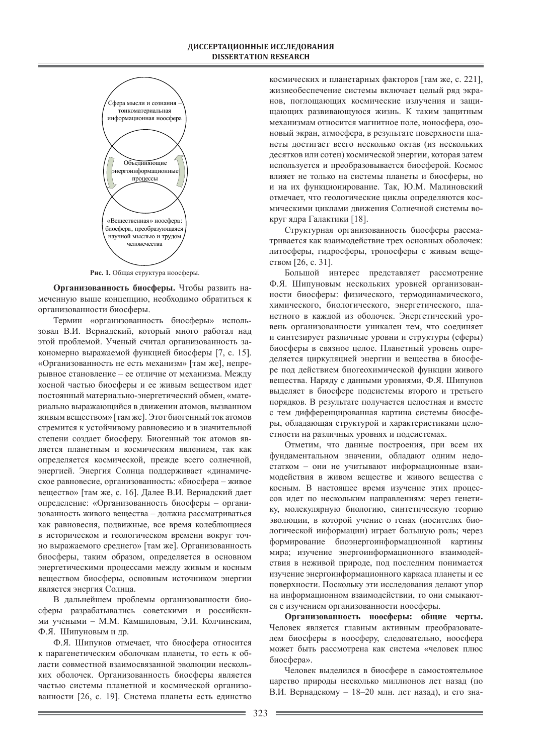

Рис. 1. Общая структура ноосферы.

Организованность биосферы. Чтобы развить намеченную выше концепцию, необходимо обратиться к организованности биосферы.

Термин «организованность биосферы» использовал В.И. Вернадский, который много работал над этой проблемой. Ученый считал организованность закономерно выражаемой функцией биосферы [7, с. 15]. «Организованность не есть механизм» [там же], непрерывное становление – ее отличие от механизма. Между косной частью биосферы и ее живым веществом идет постоянный материально-энергетический обмен, «материально выражающийся в движении атомов, вызванном живым веществом» [там же]. Этот биогенный ток атомов стремится к устойчивому равновесию и в значительной степени создает биосферу. Биогенный ток атомов является планетным и космическим явлением, так как определяется космической, прежде всего солнечной, энергией. Энергия Солнца поддерживает «динамическое равновесие, организованность: «биосфера – живое вещество» [там же, с. 16]. Далее В.И. Вернадский дает определение: «Организованность биосферы - организованность живого вещества – должна рассматриваться как равновесия, подвижные, все время колеблющиеся в историческом и геологическом времени вокруг точно выражаемого среднего» [там же]. Организованность биосферы, таким образом, определяется в основном энергетическими процессами между живым и косным веществом биосферы, основным источником энергии является энергия Солнца.

В дальнейшем проблемы организованности биосферы разрабатывались советскими и российскими учеными – М.М. Камшиловым, Э.И. Колчинским, Ф.Я. Шипуновым и др.

Ф.Я. Шипунов отмечает, что биосфера относится к парагенетическим оболочкам планеты, то есть к области совместной взаимосвязанной эволюции нескольких оболочек. Организованность биосферы является частью системы планетной и космической организованности [26, с. 19]. Система планеты есть единство

космических и планетарных факторов [там же, с. 221], жизнеобеспечение системы включает целый ряд экранов, поглощающих космические излучения и защищающих развивающуюся жизнь. К таким защитным механизмам относится магнитное поле, ионосфера, озоновый экран, атмосфера, в результате поверхности планеты достигает всего несколько октав (из нескольких десятков или сотен) космической энергии, которая затем используется и преобразовывается биосферой. Космос влияет не только на системы планеты и биосферы, но и на их функционирование. Так, Ю.М. Малиновский отмечает, что геологические циклы определяются космическими циклами движения Солнечной системы вокруг ядра Галактики [18].

Структурная организованность биосферы рассматривается как взаимодействие трех основных оболочек: литосферы, гидросферы, тропосферы с живым веществом  $[26, c. 31]$ .

Большой интерес представляет рассмотрение Ф.Я. Шипуновым нескольких уровней организованности биосферы: физического, термодинамического, химического, биологического, энергетического, планетного в каждой из оболочек. Энергетический уровень организованности уникален тем, что соединяет и синтезирует различные уровни и структуры (сферы) биосферы в связное целое. Планетный уровень определяется циркуляцией энергии и вещества в биосфере под действием биогеохимической функции живого вещества. Наряду с данными уровнями, Ф.Я. Шипунов выделяет в биосфере подсистемы второго и третьего порядков. В результате получается целостная и вместе с тем дифференцированная картина системы биосферы, обладающая структурой и характеристиками целостности на различных уровнях и подсистемах.

Отметим, что данные построения, при всем их фундаментальном значении, обладают одним недостатком – они не учитывают информационные взаимодействия в живом веществе и живого вещества с косным. В настоящее время изучение этих процессов идет по нескольким направлениям: через генетику, молекулярную биологию, синтетическую теорию эволюции, в которой учение о генах (носителях биологической информации) играет большую роль; через формирование биоэнергоинформационной картины мира; изучение энергоинформационного взаимодействия в неживой природе, под последним понимается изучение энергоинформационного каркаса планеты и ее поверхности. Поскольку эти исследования делают упор на информационном взаимодействии, то они смыкаются с изучением организованности ноосферы.

Организованность ноосферы: общие черты. Человек является главным активным преобразователем биосферы в ноосферу, следовательно, ноосфера может быть рассмотрена как система «человек плюс биосфера».

Человек выделился в биосфере в самостоятельное царство природы несколько миллионов лет назад (по В.И. Вернадскому - 18-20 млн. лет назад), и его зна-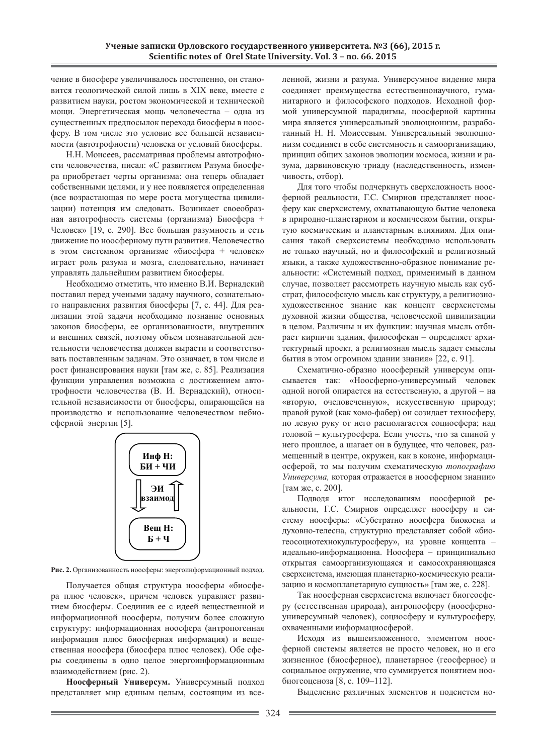чение в биосфере увеличивалось постепенно, он становится геологической силой лишь в XIX веке, вместе с развитием науки, ростом экономической и технической мощи. Энергетическая мощь человечества - одна из существенных предпосылок перехода биосферы в ноосферу. В том числе это условие все большей независимости (автотрофности) человека от условий биосферы.

Н.Н. Моисеев, рассматривая проблемы автотрофности человечества, писал: «С развитием Разума биосфера приобретает черты организма: она теперь обладает собственными целями, и у нее появляется определенная (все возрастающая по мере роста могущества цивилизации) потенция им следовать. Возникает своеобразная автотрофность системы (организма) Биосфера + Человек» [19, с. 290]. Все большая разумность и есть движение по ноосферному пути развития. Человечество в этом системном организме «биосфера + человек» играет роль разума и мозга, следовательно, начинает управлять дальнейшим развитием биосферы.

Необходимо отметить, что именно В.И. Вернадский поставил перед учеными задачу научного, сознательного направления развития биосферы [7, с. 44]. Для реализации этой задачи необходимо познание основных законов биосферы, ее организованности, внутренних и внешних связей, поэтому объем познавательной деятельности человечества должен вырасти и соответствовать поставленным задачам. Это означает, в том числе и рост финансирования науки [там же, с. 85]. Реализация функции управления возможна с достижением автотрофности человечества (В. И. Вернадский), относительной независимости от биосферы, опирающейся на производство и использование человечеством небиосферной энергии [5].



Рис. 2. Организованность ноосферы: энергоинформационный подход.

Получается общая структура ноосферы «биосфера плюс человек», причем человек управляет развитием биосферы. Соединив ее с идеей вещественной и информационной ноосферы, получим более сложную структуру: информационная ноосфера (антропогенная информация плюс биосферная информация) и вещественная ноосфера (биосфера плюс человек). Обе сферы соединены в одно целое энергоинформационным взаимодействием (рис. 2).

Ноосферный Универсум. Универсумный подход представляет мир единым целым, состоящим из вселенной, жизни и разума. Универсумное видение мира соединяет преимущества естественнонаучного, гуманитарного и философского подходов. Исходной формой универсумной парадигмы, ноосферной картины мира является универсальный эволюционизм, разработанный Н. Н. Моисеевым. Универсальный эволюционизм соединяет в себе системность и самоорганизацию, принцип общих законов эволюции космоса, жизни и разума, дарвиновскую триаду (наследственность, изменчивость, отбор).

Для того чтобы подчеркнуть сверхсложность ноосферной реальности, Г.С. Смирнов представляет ноосферу как сверхсистему, охватывающую бытие человека в природно-планетарном и космическом бытии, открытую космическим и планетарным влияниям. Для описания такой сверхсистемы необходимо использовать не только научный, но и философский и религиозный языки, а также художественно-образное понимание реальности: «Системный подход, применимый в данном случае, позволяет рассмотреть научную мысль как субстрат, философскую мысль как структуру, а религиознохудожественное знание как концепт сверхсистемы духовной жизни общества, человеческой цивилизации в целом. Различны и их функции: научная мысль отбирает кирпичи здания, философская – определяет архитектурный проект, а религиозная мысль задает смыслы бытия в этом огромном здании знания» [22, с. 91].

Схематично-образно ноосферный универсум описывается так: «Ноосферно-универсумный человек одной ногой опирается на естественную, а другой - на «вторую, очеловеченную», искусственную природу; правой рукой (как хомо-фабер) он созидает техносферу, по левую руку от него располагается социосфера; над головой – культуросфера. Если учесть, что за спиной у него прошлое, а шагает он в будущее, что человек, размещенный в центре, окружен, как в коконе, информациосферой, то мы получим схематическую топографию Универсума, которая отражается в ноосферном знании» [там же, с. 200].

Подводя итог исследованиям ноосферной реальности, Г.С. Смирнов определяет ноосферу и систему ноосферы: «Субстратно ноосфера биокосна и духовно-телесна, структурно представляет собой «биогеосоциотехнокультуросферу», на уровне концепта – идеально-информационна. Ноосфера – принципиально открытая самоорганизующаяся и самосохраняющаяся сверхсистема, имеющая планетарно-космическую реализацию и космопланетарную сущность» [там же, с. 228].

Так ноосферная сверхсистема включает биогеосферу (естественная природа), антропосферу (ноосферноуниверсумный человек), социосферу и культуросферу, охваченными информациосферой.

Исходя из вышеизложенного, элементом ноосферной системы является не просто человек, но и его жизненное (биосферное), планетарное (геосферное) и социальное окружение, что суммируется понятием нообиогеоценоза [8, с. 109–112].

Выделение различных элементов и подсистем но-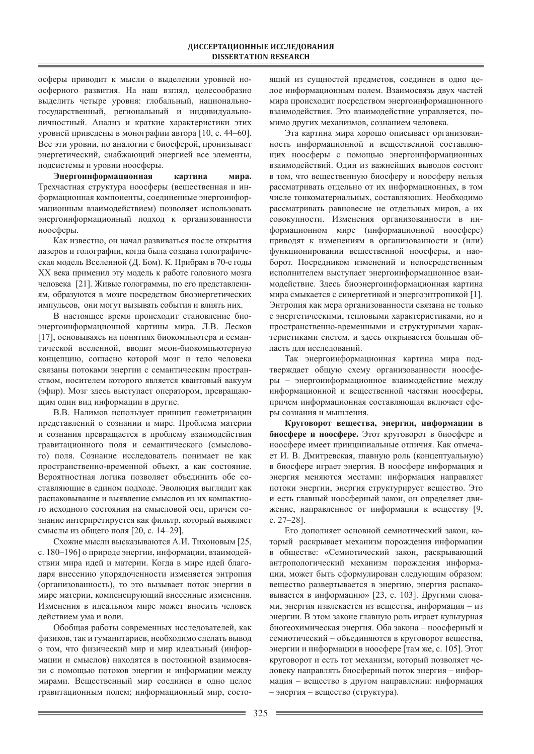осферы приводит к мысли о выделении уровней ноосферного развития. На наш взгляд, целесообразно выделить четыре уровня: глобальный, национальногосударственный, региональный и индивидуальноличностный. Анализ и краткие характеристики этих уровней приведены в монографии автора [10, с. 44–60]. Все эти уровни, по аналогии с биосферой, пронизывает энергетический, снабжающий энергией все элементы, подсистемы и уровни ноосферы.

Энергоинформационная картина мира. Трехчастная структура ноосферы (вещественная и информационная компоненты, соединенные энергоинформационным взаимодействием) позволяет использовать энергоинформационный подход к организованности ноосферы.

Как известно, он начал развиваться после открытия лазеров и голографии, когда была создана голографическая модель Вселенной (Д. Бом). К. Прибрам в 70-е годы XX века применил эту модель к работе головного мозга человека [21]. Живые голограммы, по его представлениям, образуются в мозге посредством биоэнергетических импульсов, они могут вызывать события и влиять них.

В настоящее время происходит становление биоэнергоинформационной картины мира. Л.В. Лесков [17], основываясь на понятиях биокомпьютера и семантической вселенной, вводит меон-биокомпьютерную концепцию, согласно которой мозг и тело человека связаны потоками энергии с семантическим пространством, носителем которого является квантовый вакуум (эфир). Мозг здесь выступает оператором, превращающим один вид информации в другие.

В.В. Налимов использует принцип геометризации представлений о сознании и мире. Проблема материи и сознания превращается в проблему взаимодействия гравитационного поля и семантического (смыслового) поля. Сознание исследователь понимает не как пространственно-временной объект, а как состояние. Вероятностная логика позволяет объединить обе составляющие в едином подходе. Эволюция выглядит как распаковывание и выявление смыслов из их компактного исходного состояния на смысловой оси, причем сознание интерпретируется как фильтр, который выявляет смыслы из общего поля [20, с. 14–29].

Схожие мысли высказываются А.И. Тихоновым [25, с. 180–196] о природе энергии, информации, взаимодействии мира идей и материи. Когда в мире идей благодаря внесению упорядоченности изменяется энтропия (организованность), то это вызывает поток энергии в мире материи, компенсирующий внесенные изменения. Изменения в идеальном мире может вносить человек действием ума и воли.

Обобщая работы современных исследователей, как физиков, так и гуманитариев, необходимо сделать вывод о том, что физический мир и мир идеальный (информации и смыслов) находятся в постоянной взаимосвязи с помощью потоков энергии и информации между мирами. Вещественный мир соединен в одно целое гравитационным полем; информационный мир, состо-

ящий из сущностей предметов, соединен в одно целое информационным полем. Взаимосвязь двух частей мира происходит посредством энергоинформационного взаимодействия. Это взаимодействие управляется, помимо других механизмов, сознанием человека.

Эта картина мира хорошо описывает организованность информационной и вещественной составляющих ноосферы с помощью энергоинформационных взаимодействий. Один из важнейших выводов состоит в том, что вещественную биосферу и ноосферу нельзя рассматривать отдельно от их информационных, в том числе тонкоматериальных, составляющих. Необходимо рассматривать равновесие не отдельных миров, а их совокупности. Изменения организованности в информационном мире (информационной ноосфере) приводят к изменениям в организованности и (или) функционировании вещественной ноосферы, и наоборот. Посредником изменений и непосредственным исполнителем выступает энергоинформационное взаимодействие. Здесь биоэнергоинформационная картина мира смыкается с синергетикой и энергоэнтропикой [1]. Энтропия как мера организованности связана не только с энергетическими, тепловыми характеристиками, но и пространственно-временными и структурными характеристиками систем, и здесь открывается большая область для исследований.

Так энергоинформационная картина мира подтверждает общую схему организованности ноосферы – энергоинформационное взаимодействие между информационной и вещественной частями ноосферы, причем информационная составляющая включает сферы сознания и мышления.

Круговорот вещества, энергии, информации в **биосфере и ноосфере.** Этот круговорот в биосфере и ноосфере имеет принципиальные отличия. Как отмечает И. В. Дмитревская, главную роль (концептуальную) в биосфере играет энергия. В ноосфере информация и энергия меняются местами: информация направляет потоки энергии, энергия структурирует вещество. Это и есть главный ноосферный закон, он определяет движение, направленное от информации к веществу [9, ɫ. 27–28].

Его дополняет основной семиотический закон, который раскрывает механизм порождения информации в обществе: «Семиотический закон, раскрывающий антропологический механизм порождения информации, может быть сформулирован следующим образом: вещество развертывается в энергию, энергия распаковывается в информацию» [23, с. 103]. Другими словами, энергия извлекается из вещества, информация – из энергии. В этом законе главную роль играет культурная биогеохимическая энергия. Оба закона – ноосферный и семиотический – объединяются в круговорот вещества, энергии и информации в ноосфере [там же, с. 105]. Этот круговорот и есть тот механизм, который позволяет человеку направлять биосферный поток энергия – информация – вещество в другом направлении: информация – энергия – вещество (структура).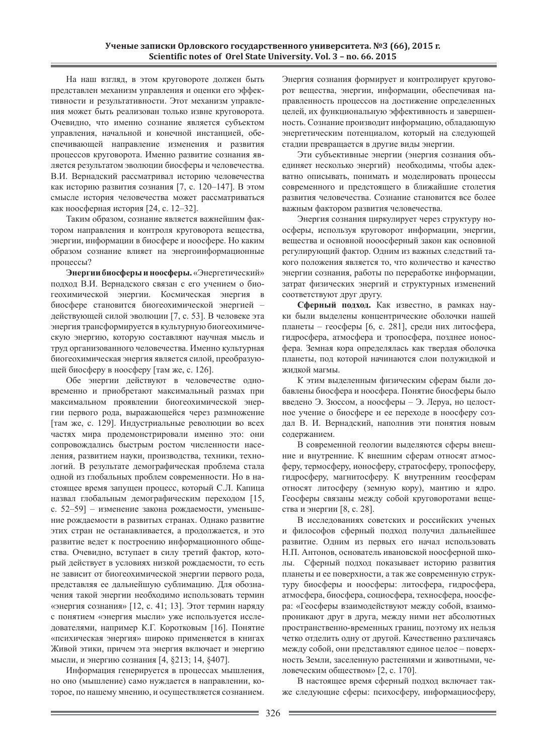На наш взгляд, в этом круговороте должен быть представлен механизм управления и оценки его эффективности и результативности. Этот механизм управления может быть реализован только извне круговорота. Очевидно, что именно сознание является субъектом управления, начальной и конечной инстанцией, обеспечивающей направление изменения и развития процессов круговорота. Именно развитие сознания является результатом эволюции биосферы и человечества. В.И. Вернадский рассматривал историю человечества как историю развития сознания [7, с. 120–147]. В этом смысле история человечества может рассматриваться как ноосферная история  $[24, c. 12-32]$ .

Таким образом, сознание является важнейшим фактором направления и контроля круговорота вещества, энергии, информации в биосфере и ноосфере. Но каким образом сознание влияет на энергоинформационные процессы?

Энергии биосферы и ноосферы. «Энергетический» подход В.И. Вернадского связан с его учением о биогеохимической энергии. Космическая энергия в биосфере становится биогеохимической энергией действующей силой эволюции [7, с. 53]. В человеке эта энергия трансформируется в культурную биогеохимическую энергию, которую составляют научная мысль и труд организованного человечества. Именно культурная биогеохимическая энергия является силой, преобразующей биосферу в ноосферу [там же, с. 126].

Обе энергии действуют в человечестве одновременно и приобретают максимальный размах при максимальном проявлении биогеохимической энергии первого рода, выражающейся через размножение [там же, с. 129]. Индустриальные революции во всех частях мира продемонстрировали именно это: они сопровождались быстрым ростом численности населения, развитием науки, производства, техники, технологий. В результате демографическая проблема стала одной из глобальных проблем современности. Но в настоящее время запущен процесс, который С.Л. Капица назвал глобальным демографическим переходом [15, с. 52–59] – изменение закона рождаемости, уменьшение рождаемости в развитых странах. Однако развитие этих стран не останавливается, а продолжается, и это развитие ведет к построению информационного общества. Очевидно, вступает в силу третий фактор, который действует в условиях низкой рождаемости, то есть не зависит от биогеохимической энергии первого рода, представляя ее дальнейшую сублимацию. Для обозначения такой энергии необходимо использовать термин «энергия сознания» [12, с. 41; 13]. Этот термин наряду с понятием «энергия мысли» уже используется исследователями, например К.Г. Коротковым [16]. Понятие «психическая энергия» широко применяется в книгах Живой этики, причем эта энергия включает и энергию мысли, и энергию сознания [4, §213; 14, §407].

Информация генерируется в процессах мышления, но оно (мышление) само нуждается в направлении, которое, по нашему мнению, и осуществляется сознанием. Энергия сознания формирует и контролирует круговорот вещества, энергии, информации, обеспечивая направленность процессов на достижение определенных целей, их функциональную эффективность и завершенность. Сознание производит информацию, обладающую энергетическим потенциалом, который на следующей стадии превращается в другие виды энергии.

Эти субъективные энергии (энергия сознания объединяет несколько энергий) необходимы, чтобы адекватно описывать, понимать и моделировать процессы современного и предстоящего в ближайшие столетия развития человечества. Сознание становится все более важным фактором развития человечества.

Энергия сознания циркулирует через структуру ноосферы, используя круговорот информации, энергии, вещества и основной нооосферный закон как основной регулирующий фактор. Одним из важных следствий такого положения является то, что количество и качество энергии сознания, работы по переработке информации, затрат физических энергий и структурных изменений соответствуют друг другу.

Сферный подход. Как известно, в рамках науки были выделены концентрические оболочки нашей планеты – геосферы [6, с. 281], среди них литосфера, гидросфера, атмосфера и тропосфера, позднее ионосфера. Земная кора определялась как твердая оболочка планеты, под которой начинаются слои полужидкой и жилкой магмы.

К этим выделенным физическим сферам были добавлены биосфера и ноосфера. Понятие биосферы было введено Э. Зюссом, а ноосферы - Э. Леруа, но целостное учение о биосфере и ее переходе в ноосферу создал В. И. Вернадский, наполнив эти понятия новым содержанием.

В современной геологии выделяются сферы внешние и внутренние. К внешним сферам относят атмосферу, термосферу, ионосферу, стратосферу, тропосферу, гидросферу, магнитосферу. К внутренним геосферам относят литосферу (земную кору), мантию и ядро. Геосферы связаны между собой круговоротами вещества и энергии [8, с. 28].

В исследованиях советских и российских ученых и философов сферный подход получил дальнейшее развитие. Одним из первых его начал использовать Н.П. Антонов, основатель ивановской ноосферной школы. Сферный подход показывает историю развития планеты и ее поверхности, а так же современную структуру биосферы и ноосферы: литосфера, гидросфера, атмосфера, биосфера, социосфера, техносфера, ноосфера: «Геосферы взаимодействуют между собой, взаимопроникают друг в друга, между ними нет абсолютных пространственно-временных границ, поэтому их нельзя четко отделить одну от другой. Качественно различаясь между собой, они представляют единое целое – поверхность Земли, заселенную растениями и животными, человеческим обществом» [2, с. 170].

В настоящее время сферный подход включает также следующие сферы: психосферу, информациосферу,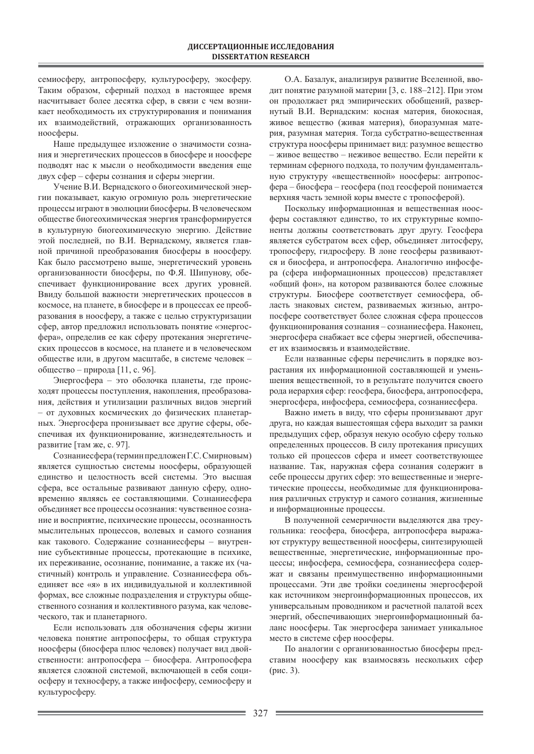семиосферу, антропосферу, культуросферу, экосферу. Таким образом, сферный подход в настоящее время насчитывает более десятка сфер, в связи с чем возникает необходимость их структурирования и понимания их взаимодействий, отражающих организованность ноосферы.

Наше предыдущее изложение о значимости сознания и энергетических процессов в биосфере и ноосфере подводят нас к мысли о необходимости введения еще двух сфер – сферы сознания и сферы энергии.

Учение В.И. Вернадского о биогеохимической энергии показывает, какую огромную роль энергетические процессы играют в эволюции биосферы. В человеческом обществе биогеохимическая энергия трансформируется в культурную биогеохимическую энергию. Действие этой последней, по В.И. Вернадскому, является главной причиной преобразования биосферы в ноосферу. Как было рассмотрено выше, энергетический уровень организованности биосферы, по Ф.Я. Шипунову, обеспечивает функционирование всех других уровней. Ввиду большой важности энергетических процессов в космосе, на планете, в биосфере и в процессах ее преобразования в ноосферу, а также с целью структуризации сфер, автор предложил использовать понятие «энергосфера», определив ее как сферу протекания энергетических процессов в космосе, на планете и в человеческом обществе или, в другом масштабе, в системе человек общество – природа [11, с. 96].

Энергосфера – это оболочка планеты, где происходят процессы поступления, накопления, преобразования, действия и утилизации различных видов энергий – от духовных космических до физических планетарных. Энергосфера пронизывает все другие сферы, обеспечивая их функционирование, жизнедеятельность и развитие [там же, с. 97].

Сознание сфера (термин предложен Г.С. Смирновым) является сущностью системы ноосферы, образующей единство и целостность всей системы. Это высшая сфера, все остальные развивают данную сферу, одновременно являясь ее составляющими. Сознаниесфера объединяет все процессы осознания: чувственное сознание и восприятие, психические процессы, осознанность мыслительных процессов, волевых и самого сознания как такового. Содержание сознание сферы – внутренние субъективные процессы, протекающие в психике, их переживание, осознание, понимание, а также их (частичный) контроль и управление. Сознаниесфера объединяет все «я» в их индивидуальной и коллективной формах, все сложные подразделения и структуры общественного сознания и коллективного разума, как человеческого, так и планетарного.

Если использовать для обозначения сферы жизни человека понятие антропосферы, то общая структура ноосферы (биосфера плюс человек) получает вид двойственности: антропосфера – биосфера. Антропосфера является сложной системой, включающей в себя социосферу и техносферу, а также инфосферу, семиосферу и культуросферу.

О.А. Базалук, анализируя развитие Вселенной, вводит понятие разумной материи [3, с. 188–212]. При этом он продолжает ряд эмпирических обобщений, развернутый В.И. Вернадским: косная материя, биокосная, живое вещество (живая материя), биоразумная материя, разумная материя. Тогда субстратно-вещественная структура ноосферы принимает вид: разумное вещество – живое вещество – неживое вещество. Если перейти к терминам сферного подхода, то получим фундаментальную структуру «вещественной» ноосферы: антропосфера – биосфера – геосфера (под геосферой понимается верхняя часть земной коры вместе с тропосферой).

Поскольку информационная и вещественная ноосферы составляют единство, то их структурные компоненты должны соответствовать друг другу. Геосфера является субстратом всех сфер, объединяет литосферу, тропосферу, гидросферу. В лоне геосферы развиваются и биосфера, и антропосфера. Аналогично инфосфера (сфера информационных процессов) представляет «общий фон», на котором развиваются более сложные структуры. Биосфере соответствует семиосфера, область знаковых систем, развиваемых жизнью, антропосфере соответствует более сложная сфера процессов функционирования сознания – сознание сфера. Наконец, энергосфера снабжает все сферы энергией, обеспечивает их взаимосвязь и взаимодействие.

Если названные сферы перечислить в порядке возрастания их информационной составляющей и уменьшения вещественной, то в результате получится своего рода иерархия сфер: геосфера, биосфера, антропосфера, энергосфера, инфосфера, семиосфера, сознание сфера.

Важно иметь в виду, что сферы пронизывают друг друга, но каждая вышестоящая сфера выходит за рамки предыдущих сфер, образуя некую особую сферу только определенных процессов. В силу протекания присущих только ей процессов сфера и имеет соответствующее название. Так, наружная сфера сознания содержит в себе процессы других сфер: это вещественные и энергетические процессы, необходимые для функционирования различных структур и самого сознания, жизненные и информационные процессы.

В полученной семеричности выделяются два треугольника: геосфера, биосфера, антропосфера выражают структуру вещественной ноосферы, синтезирующей вещественные, энергетические, информационные процессы; инфосфера, семиосфера, сознаниесфера содержат и связаны преимущественно информационными процессами. Эти две тройки соединены энергосферой как источником энергоинформационных процессов, их универсальным проводником и расчетной палатой всех энергий, обеспечивающих энергоинформационный баланс ноосферы. Так энергосфера занимает уникальное место в системе сфер ноосферы.

По аналогии с организованностью биосферы представим ноосферу как взаимосвязь нескольких сфер  $(pnc. 3)$ .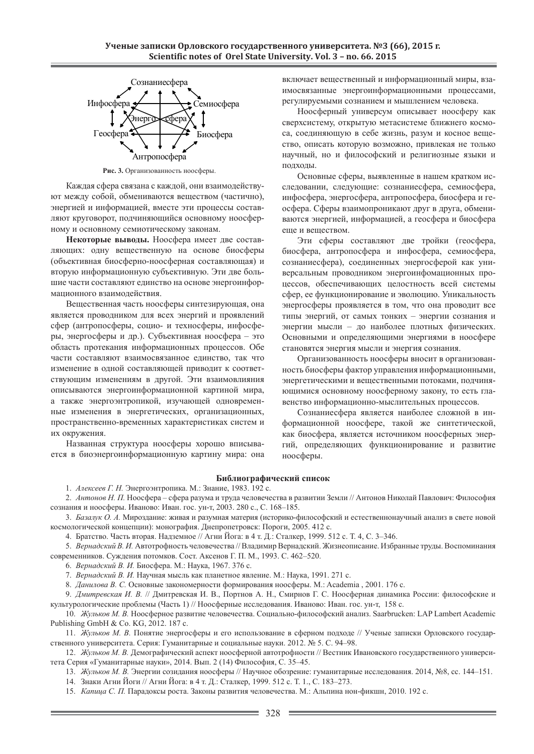

Рис. 3. Организованность ноосферы.

Каждая сфера связана с каждой, они взаимодействуы нот между собой, обмениваются веществом (частично), энергией и информацией, вместе эти процессы составляют круговорот, подчиняющийся основному ноосферному и основному семиотическому законам.

Некоторые выводы. Ноосфера имеет две составляющих: одну вещественную на основе биосферы (объективная биосферно-ноосферная составляющая) и вторую информационную субъективную. Эти две большие части составляют единство на основе энергоинформационного взаимодействия.

Вещественная часть ноосферы синтезирующая, она является проводником для всех энергий и проявлений сфер (антропосферы, социо- и техносферы, инфосферы, энергосферы и др.). Субъективная ноосфера – это область протекания информационных процессов. Обе части составляют взаимосвязанное единство, так что изменение в одной составляющей приводит к соответствующим изменениям в другой. Эти взаимовлияния описываются энергоинформационной картиной мира, а также энергоэнтропикой, изучающей одновременные изменения в энергетических, организационных, пространственно-временных характеристиках систем и их окружения.

Названная структура ноосферы хорошо вписывается в биоэнергоинформационную картину мира: она включает вещественный и информационный миры, взаимосвязанные энергоинформационными процессами, регулируемыми сознанием и мышлением человека.

Ноосферный универсум описывает ноосферу как сверхсистему, открытую метасистеме ближнего космоса, соединяющую в себе жизнь, разум и косное вещество, описать которую возможно, привлекая не только научный, но и философский и религиозные языки и подходы.

Основные сферы, выявленные в нашем кратком исследовании, следующие: сознаниесфера, семиосфера, инфосфера, энергосфера, антропосфера, биосфера и геосфера. Сферы взаимопроникают друг в друга, обмениваются энергией, информацией, а геосфера и биосфера еще и веществом.

Эти сферы составляют две тройки (геосфера, биосфера, антропосфера и инфосфера, семиосфера, сознание сфера), соединенных энергосферой как универсальным проводником энергоинфомационных процессов, обеспечивающих целостность всей системы сфер, ее функционирование и эволюцию. Уникальность энергосферы проявляется в том, что она проводит все типы энергий, от самых тонких – энергии сознания и энергии мысли – до наиболее плотных физических. Основными и определяющими энергиями в ноосфере становятся энергия мысли и энергия сознания.

Организованность ноосферы вносит в организованность биосферы фактор управления информационными, энергетическими и вещественными потоками, подчиняющимися основному ноосферному закону, то есть главенство информационно-мыслительных процессов.

Сознаниесфера является наиболее сложной в информационной ноосфере, такой же синтетической, как биосфера, является источником ноосферных энергий, определяющих функционирование и развитие ноосферы.

### **Библиографический список**

1. *Алексеев Г. Н.* Энергоэнтропика. М.: Знание, 1983. 192 с.

2. Антонов Н. П. Ноосфера – сфера разума и труда человечества в развитии Земли // Антонов Николай Павлович: Философия сознания и ноосферы. Иваново: Иван. гос. ун-т, 2003. 280 с., С. 168-185.

3. *Базалук О. А. Мироздание: живая и разумная материя (историко-философский и естественнонаучный анализ в свете новой* космологической концепции): монография. Днепропетровск: Пороги, 2005. 412 с.

4. Братство. Часть вторая. Надземное // Агни Йога: в 4 т. Д.: Сталкер, 1999. 512 с. Т. 4, С. 3-346.

5. Вернадский В. И. Автотрофность человечества // Владимир Вернадский. Жизнеописание. Избранные труды. Воспоминания современников. Суждения потомков. Сост. Аксенов Г. П. М., 1993. С. 462–520.

6. Вернадский В. И. Биосфера. М.: Наука, 1967. 376 с.

7. Вернадский В. И. Научная мысль как планетное явление. М.: Наука, 1991. 271 с.

8. Данилова В. С. Основные закономерности формирования ноосферы. М.: Academia, 2001. 176 с.

9. Дмитревская И. В. // Дмитревская И. В., Портнов А. Н., Смирнов Г. С. Ноосферная динамика России: философские и культурологические проблемы (Часть 1) // Ноосферные исследования. Иваново: Иван. гос. ун-т, 158 с.

10. Жульков М. В. Ноосферное развитие человечества. Социально-философский анализ. Saarbrucken: LAP Lambert Academic Publishing GmbH & Co. KG, 2012. 187 c.

11. *Жульков М. В.* Понятие энергосферы и его использование в сферном подходе // Ученые записки Орловского государственного университета. Серия: Гуманитарные и социальные науки. 2012. № 5. С. 94–98.

12. Жульков М. В. Демографический аспект ноосферной автотрофности // Вестник Ивановского государственного университета Серия «Гуманитарные науки», 2014. Вып. 2 (14) Философия, С. 35-45.

13. Жульков М. В. Энергии созидания ноосферы // Научное обозрение: гуманитарные исследования. 2014, №8, сс. 144–151.

14. Знаки Агни Йоги // Агни Йога: в 4 т. Д.: Сталкер, 1999. 512 с. Т. 1., С. 183–273.

15. Капица С. П. Парадоксы роста. Законы развития человечества. М.: Альпина нон-фикшн, 2010. 192 с.